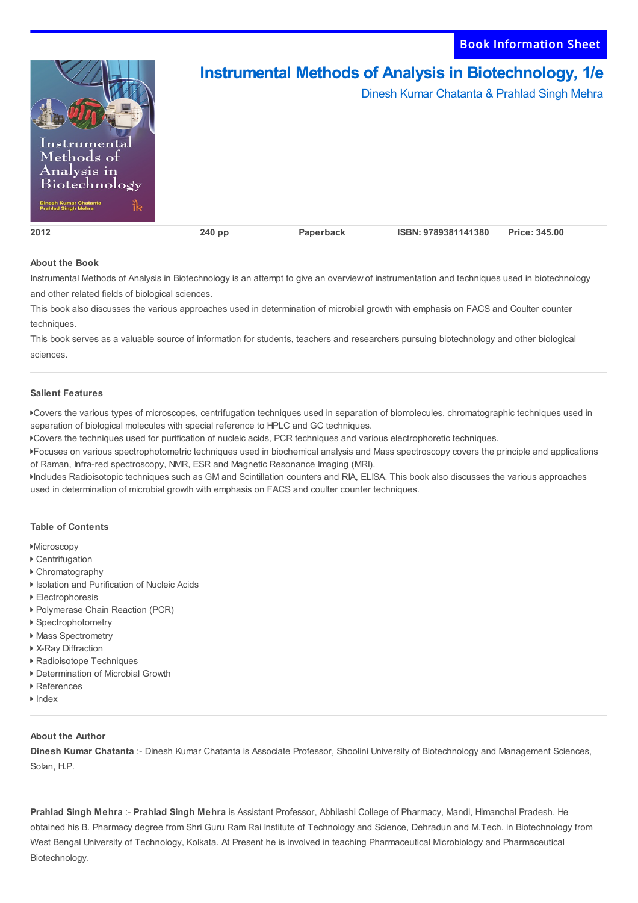

## **About the Book**

Instrumental Methods of Analysis in Biotechnology is an attempt to give an overview of instrumentation and techniques used in biotechnology and other related fields of biological sciences.

This book also discusses the various approaches used in determination of microbial growth with emphasis on FACS and Coulter counter techniques.

This book serves as a valuable source of information for students, teachers and researchers pursuing biotechnology and other biological sciences.

## **Salient Features**

Covers the various types of microscopes, centrifugation techniques used in separation of biomolecules, chromatographic techniques used in separation of biological molecules with special reference to HPLC and GC techniques.

Covers the techniques used for purification of nucleic acids, PCR techniques and various electrophoretic techniques.

Focuses on various spectrophotometric techniques used in biochemical analysis and Mass spectroscopy covers the principle and applications of Raman, Infra-red spectroscopy, NMR, ESR and Magnetic Resonance Imaging (MRI).

Includes Radioisotopic techniques such as GM and Scintillation counters and RIA, ELISA. This book also discusses the various approaches used in determination of microbial growth with emphasis on FACS and coulter counter techniques.

## **Table of Contents**

- **Microscopy**
- Centrifugation
- Chromatography
- Isolation and Purification of Nucleic Acids
- Electrophoresis
- Polymerase Chain Reaction (PCR)
- ▶ Spectrophotometry
- ▶ Mass Spectrometry
- X-Ray Diffraction
- Radioisotope Techniques
- Determination of Microbial Growth
- ▶ References
- $\blacktriangleright$  Index

## **About the Author**

**Dinesh Kumar Chatanta** :- Dinesh Kumar Chatanta is Associate Professor, Shoolini University of Biotechnology and Management Sciences, Solan, H.P.

**Prahlad Singh Mehra** :- **Prahlad Singh Mehra** is Assistant Professor, Abhilashi College of Pharmacy, Mandi, Himanchal Pradesh. He obtained his B. Pharmacy degree from Shri Guru Ram Rai Institute of Technology and Science, Dehradun and M.Tech. in Biotechnology from West Bengal University of Technology, Kolkata. At Present he is involved in teaching Pharmaceutical Microbiology and Pharmaceutical Biotechnology.